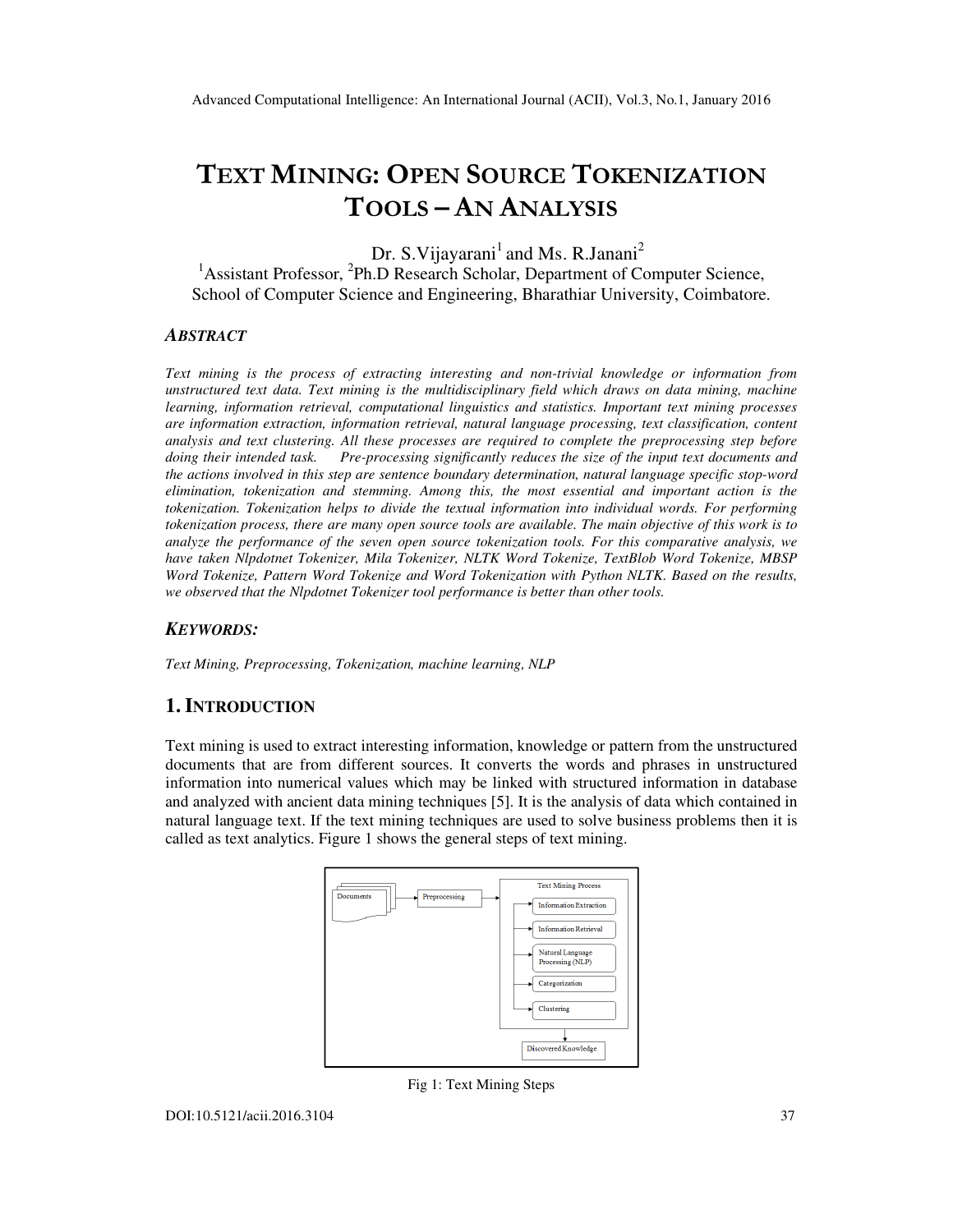# TEXT MINING: OPEN SOURCE TOKENIZATION TOOLS – AN ANALYSIS

Dr. S. Vijayarani<sup>1</sup> and Ms. R. Janani<sup>2</sup> <sup>1</sup> Assistant Professor, <sup>2</sup>Ph.D Research Scholar, Department of Computer Science, School of Computer Science and Engineering, Bharathiar University, Coimbatore.

#### *ABSTRACT*

*Text mining is the process of extracting interesting and non-trivial knowledge or information from unstructured text data. Text mining is the multidisciplinary field which draws on data mining, machine learning, information retrieval, computational linguistics and statistics. Important text mining processes are information extraction, information retrieval, natural language processing, text classification, content analysis and text clustering. All these processes are required to complete the preprocessing step before doing their intended task. Pre-processing significantly reduces the size of the input text documents and the actions involved in this step are sentence boundary determination, natural language specific stop-word elimination, tokenization and stemming. Among this, the most essential and important action is the tokenization. Tokenization helps to divide the textual information into individual words. For performing tokenization process, there are many open source tools are available. The main objective of this work is to analyze the performance of the seven open source tokenization tools. For this comparative analysis, we have taken Nlpdotnet Tokenizer, Mila Tokenizer, NLTK Word Tokenize, TextBlob Word Tokenize, MBSP Word Tokenize, Pattern Word Tokenize and Word Tokenization with Python NLTK. Based on the results, we observed that the Nlpdotnet Tokenizer tool performance is better than other tools.* 

## *KEYWORDS:*

*Text Mining, Preprocessing, Tokenization, machine learning, NLP* 

# **1. INTRODUCTION**

Text mining is used to extract interesting information, knowledge or pattern from the unstructured documents that are from different sources. It converts the words and phrases in unstructured information into numerical values which may be linked with structured information in database and analyzed with ancient data mining techniques [5]. It is the analysis of data which contained in natural language text. If the text mining techniques are used to solve business problems then it is called as text analytics. Figure 1 shows the general steps of text mining.



Fig 1: Text Mining Steps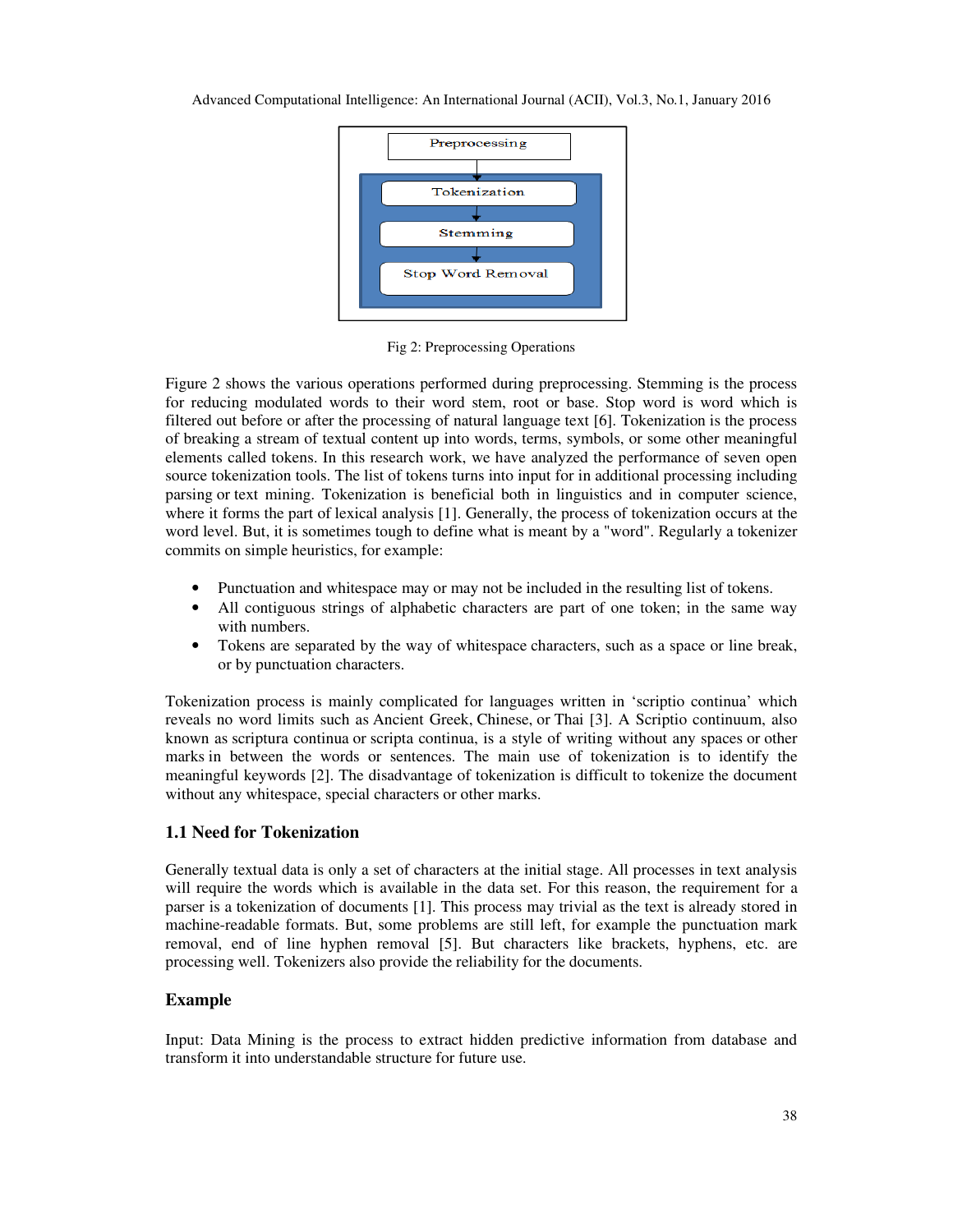

Fig 2: Preprocessing Operations

Figure 2 shows the various operations performed during preprocessing. Stemming is the process for reducing modulated words to their word stem, root or base. Stop word is word which is filtered out before or after the processing of natural language text [6]. Tokenization is the process of breaking a stream of textual content up into words, terms, symbols, or some other meaningful elements called tokens. In this research work, we have analyzed the performance of seven open source tokenization tools. The list of tokens turns into input for in additional processing including parsing or text mining. Tokenization is beneficial both in linguistics and in computer science, where it forms the part of lexical analysis [1]. Generally, the process of tokenization occurs at the word level. But, it is sometimes tough to define what is meant by a "word". Regularly a tokenizer commits on simple heuristics, for example:

- Punctuation and whitespace may or may not be included in the resulting list of tokens.
- All contiguous strings of alphabetic characters are part of one token; in the same way with numbers.
- Tokens are separated by the way of whitespace characters, such as a space or line break, or by punctuation characters.

Tokenization process is mainly complicated for languages written in 'scriptio continua' which reveals no word limits such as Ancient Greek, Chinese, or Thai [3]. A Scriptio continuum, also known as scriptura continua or scripta continua, is a style of writing without any spaces or other marks in between the words or sentences. The main use of tokenization is to identify the meaningful keywords [2]. The disadvantage of tokenization is difficult to tokenize the document without any whitespace, special characters or other marks.

## **1.1 Need for Tokenization**

Generally textual data is only a set of characters at the initial stage. All processes in text analysis will require the words which is available in the data set. For this reason, the requirement for a parser is a tokenization of documents [1]. This process may trivial as the text is already stored in machine-readable formats. But, some problems are still left, for example the punctuation mark removal, end of line hyphen removal [5]. But characters like brackets, hyphens, etc. are processing well. Tokenizers also provide the reliability for the documents.

# **Example**

Input: Data Mining is the process to extract hidden predictive information from database and transform it into understandable structure for future use.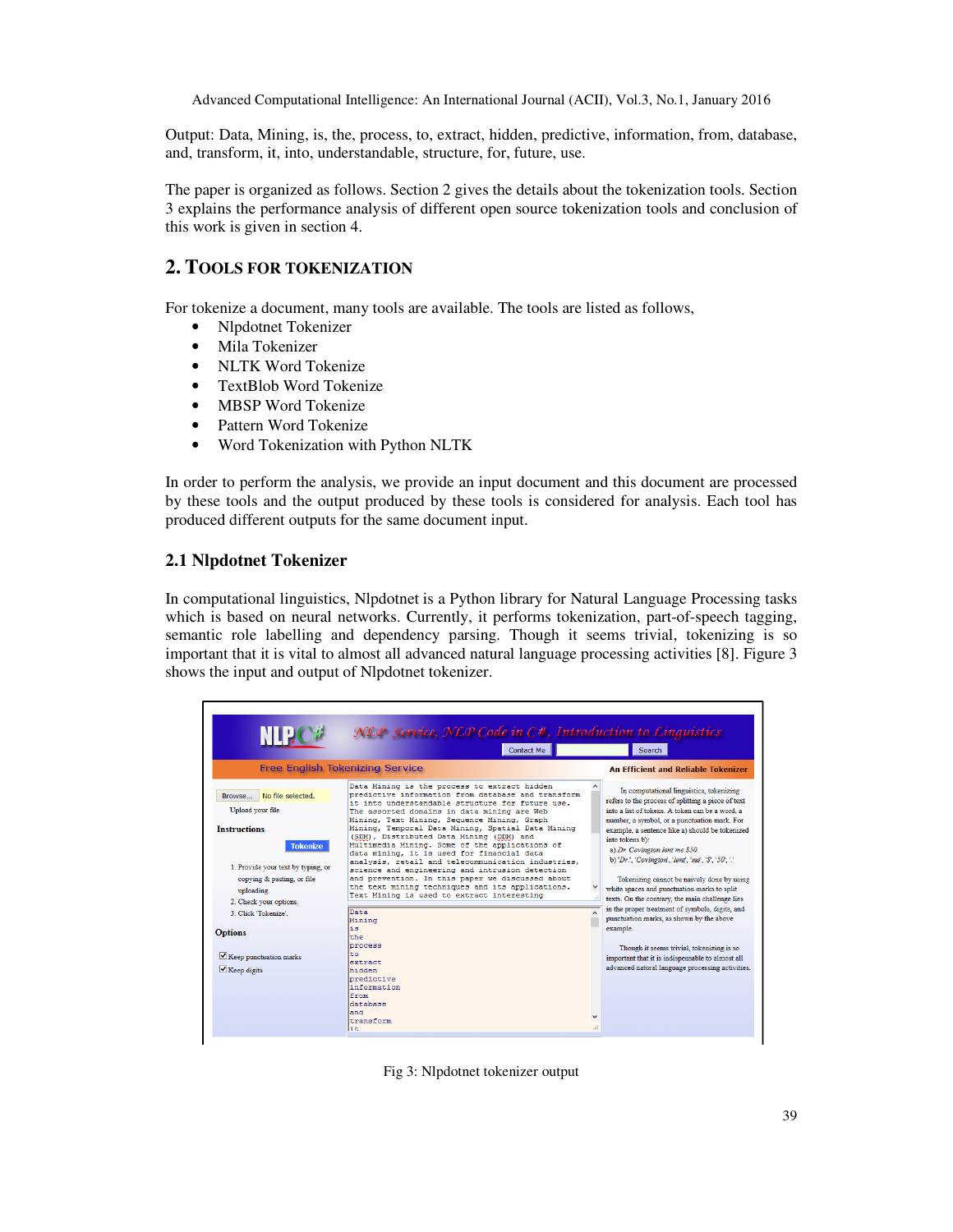Output: Data, Mining, is, the, process, to, extract, hidden, predictive, information, from, database, and, transform, it, into, understandable, structure, for, future, use.

The paper is organized as follows. Section 2 gives the details about the tokenization tools. Section 3 explains the performance analysis of different open source tokenization tools and conclusion of this work is given in section 4.

## **2. TOOLS FOR TOKENIZATION**

For tokenize a document, many tools are available. The tools are listed as follows,

- Nlpdotnet Tokenizer
- Mila Tokenizer
- NLTK Word Tokenize
- TextBlob Word Tokenize
- MBSP Word Tokenize
- Pattern Word Tokenize
- Word Tokenization with Python NLTK

In order to perform the analysis, we provide an input document and this document are processed by these tools and the output produced by these tools is considered for analysis. Each tool has produced different outputs for the same document input.

## **2.1 Nlpdotnet Tokenizer**

In computational linguistics, Nlpdotnet is a Python library for Natural Language Processing tasks which is based on neural networks. Currently, it performs tokenization, part-of-speech tagging, semantic role labelling and dependency parsing. Though it seems trivial, tokenizing is so important that it is vital to almost all advanced natural language processing activities [8]. Figure 3 shows the input and output of Nlpdotnet tokenizer.

|                                                                                                                                                                                                                                                                                          | <b>Contact Me</b>                                                                                                                                                                                                                                                                                                                                                                                                                                                                                                                                                                                                                                                                                                                                                                                                                                                       | Search                                                                                                                                                                                                                                                                                                                                                                                                                                                                                                                                                                                                                                                                                                                                                                                                                |
|------------------------------------------------------------------------------------------------------------------------------------------------------------------------------------------------------------------------------------------------------------------------------------------|-------------------------------------------------------------------------------------------------------------------------------------------------------------------------------------------------------------------------------------------------------------------------------------------------------------------------------------------------------------------------------------------------------------------------------------------------------------------------------------------------------------------------------------------------------------------------------------------------------------------------------------------------------------------------------------------------------------------------------------------------------------------------------------------------------------------------------------------------------------------------|-----------------------------------------------------------------------------------------------------------------------------------------------------------------------------------------------------------------------------------------------------------------------------------------------------------------------------------------------------------------------------------------------------------------------------------------------------------------------------------------------------------------------------------------------------------------------------------------------------------------------------------------------------------------------------------------------------------------------------------------------------------------------------------------------------------------------|
|                                                                                                                                                                                                                                                                                          | <b>Free English Tokenizing Service</b>                                                                                                                                                                                                                                                                                                                                                                                                                                                                                                                                                                                                                                                                                                                                                                                                                                  | <b>An Efficient and Reliable Tokenizer</b>                                                                                                                                                                                                                                                                                                                                                                                                                                                                                                                                                                                                                                                                                                                                                                            |
| No file selected.<br>Browse<br>Upload your file<br><b>Instructions</b><br><b>Tokenize</b><br>1. Provide your text by typing, or<br>copying & pasting, or file<br>uploading.<br>2. Check your options.<br>3. Click 'Tokenize'.<br><b>Options</b><br>Keep punctuation marks<br>Keep digits | Data Mining is the process to extract hidden<br>predictive information from database and transform<br>it into understandable structure for future use.<br>The assorted domains in data mining are Web<br>Mining, Text Mining, Sequence Mining, Graph<br>Mining, Temporal Data Mining, Spatial Data Mining<br>(SDM), Distributed Data Mining (DDM) and<br>Multimedia Mining. Some of the applications of<br>data mining, it is used for financial data<br>analysis, retail and telecommunication industries,<br>science and engineering and intrusion detection<br>and prevention. In this paper we discussed about<br>the text mining techniques and its applications.<br>Text Mining is used to extract interesting<br>Data<br>Mining<br>is<br>the<br>process<br>to<br>extract<br>hidden<br>predictive<br>information<br>from<br>database<br>and<br>transform<br>li ti | In computational linguistics, tokenizing<br>refers to the process of splitting a piece of text<br>into a list of tokens. A token can be a word, a<br>number, a symbol, or a punctuation mark. For<br>example, a sentence like a) should be tokenized<br>into tokens b):<br>a) Dr. Covington lent me \$50.<br>b) 'Dr.', 'Covington', 'lent', 'me', '\$', '50', '.'<br>Tokenizing cannot be naively done by using<br>white spaces and punctuation marks to split<br>texts. On the contrary, the main challenge lies<br>in the proper treatment of symbols, digits, and<br>$\lambda$<br>punctuation marks, as shown by the above<br>example.<br>Though it seems trivial, tokenizing is so<br>important that it is indispensable to almost all<br>advanced natural language processing activities.<br>$\checkmark$<br>ai. |

Fig 3: Nlpdotnet tokenizer output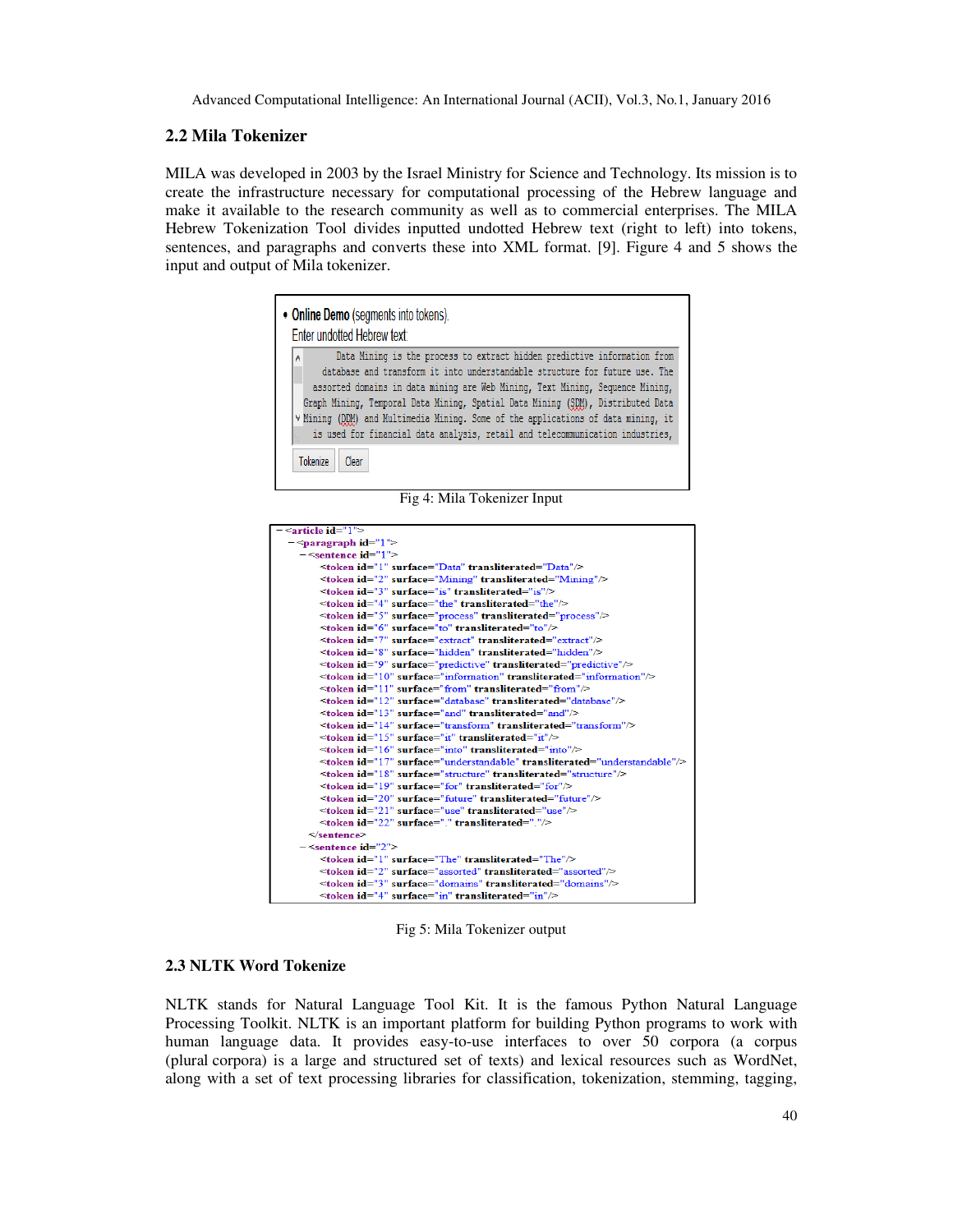## **2.2 Mila Tokenizer**

MILA was developed in 2003 by the Israel Ministry for Science and Technology. Its mission is to create the infrastructure necessary for computational processing of the Hebrew language and make it available to the research community as well as to commercial enterprises. The MILA Hebrew Tokenization Tool divides inputted undotted Hebrew text (right to left) into tokens, sentences, and paragraphs and converts these into XML format. [9]. Figure 4 and 5 shows the input and output of Mila tokenizer.

|           | • Online Demo (segments into tokens).<br>Enter undotted Hebrew text:                                                                                                                                                                                                                                                                                                                                                  |  |  |
|-----------|-----------------------------------------------------------------------------------------------------------------------------------------------------------------------------------------------------------------------------------------------------------------------------------------------------------------------------------------------------------------------------------------------------------------------|--|--|
| $\Lambda$ | Data Mining is the process to extract hidden predictive information from                                                                                                                                                                                                                                                                                                                                              |  |  |
|           | database and transform it into understandable structure for future use. The<br>assorted domains in data mining are Web Mining, Text Mining, Sequence Mining,<br>Graph Mining, Temporal Data Mining, Spatial Data Mining (SDM), Distributed Data<br>V Mining (DDM) and Multimedia Mining. Some of the applications of data mining, it<br>is used for financial data analysis, retail and telecommunication industries, |  |  |
|           |                                                                                                                                                                                                                                                                                                                                                                                                                       |  |  |
|           | Tokenize<br>Clear                                                                                                                                                                                                                                                                                                                                                                                                     |  |  |

Fig 4: Mila Tokenizer Input

| $-$ <article id="1"></article>                                                                                    |  |  |  |
|-------------------------------------------------------------------------------------------------------------------|--|--|--|
|                                                                                                                   |  |  |  |
| $-$ <sentence <math="">id="1"&gt;</sentence>                                                                      |  |  |  |
| <token id="1" surface="Data" transliterated="Data"></token>                                                       |  |  |  |
| <token id="2" surface="Mining" transliterated="Mining"></token>                                                   |  |  |  |
| <token id="3" surface="is" transliterated="is"></token>                                                           |  |  |  |
| <token id="4" surface="the" transliterated="the"></token>                                                         |  |  |  |
| <token id="5" surface="process" transliterated="process"></token>                                                 |  |  |  |
| <token id="6" surface="to" transliterated="to"></token>                                                           |  |  |  |
| <token id="7" surface="extract" transliterated="extract"></token>                                                 |  |  |  |
| <token id="8" surface="hidden" transliterated="hidden"></token>                                                   |  |  |  |
| <token id="9" surface="predictive" transliterated="predictive"></token>                                           |  |  |  |
| $\leq$ token id="10" surface="information" transliterated="information"/>                                         |  |  |  |
| <token id="11" surface="from" transliterated="from"></token>                                                      |  |  |  |
| <token_id="12" surface="database" transliterated="database"></token_id="12">                                      |  |  |  |
| $\leq$ token id="13" surface="and" transliterated="and"/>                                                         |  |  |  |
| <token id="14" surface="transform" transliterated="transform"></token>                                            |  |  |  |
| <token id="15" surface="it" transliterated="it"></token>                                                          |  |  |  |
| $\leq$ token id="16" surface="into" transliterated="into"/>                                                       |  |  |  |
| <token id="17" surface="understandable" transliterated="understandable"></token>                                  |  |  |  |
| <token id="18" surface="structure" transliterated="structure"></token>                                            |  |  |  |
| $\leq$ token id="19" surface="for" transliterated="for"/>                                                         |  |  |  |
| <token_id="20"_surface="future"_transliterated="future"></token_id="20"_surface="future"_transliterated="future"> |  |  |  |
| <token id="21" surface="use" transliterated="use"></token>                                                        |  |  |  |
| <token id="22" surface="." transliterated="."></token>                                                            |  |  |  |
| $\leq$ sentence>                                                                                                  |  |  |  |
| $-$ <sentence id="2"></sentence>                                                                                  |  |  |  |
| <token id="1" surface="The" transliterated="The"></token>                                                         |  |  |  |
| <token id="2" surface="assorted" transliterated="assorted"></token>                                               |  |  |  |
| <token id="3" surface="domains" transliterated="domains"></token>                                                 |  |  |  |
| <token id="4" surface="in" transliterated="in"></token>                                                           |  |  |  |
|                                                                                                                   |  |  |  |

Fig 5: Mila Tokenizer output

## **2.3 NLTK Word Tokenize**

NLTK stands for Natural Language Tool Kit. It is the famous Python Natural Language Processing Toolkit. NLTK is an important platform for building Python programs to work with human language data. It provides easy-to-use interfaces to over 50 corpora (a corpus (plural corpora) is a large and structured set of texts) and lexical resources such as WordNet, along with a set of text processing libraries for classification, tokenization, stemming, tagging,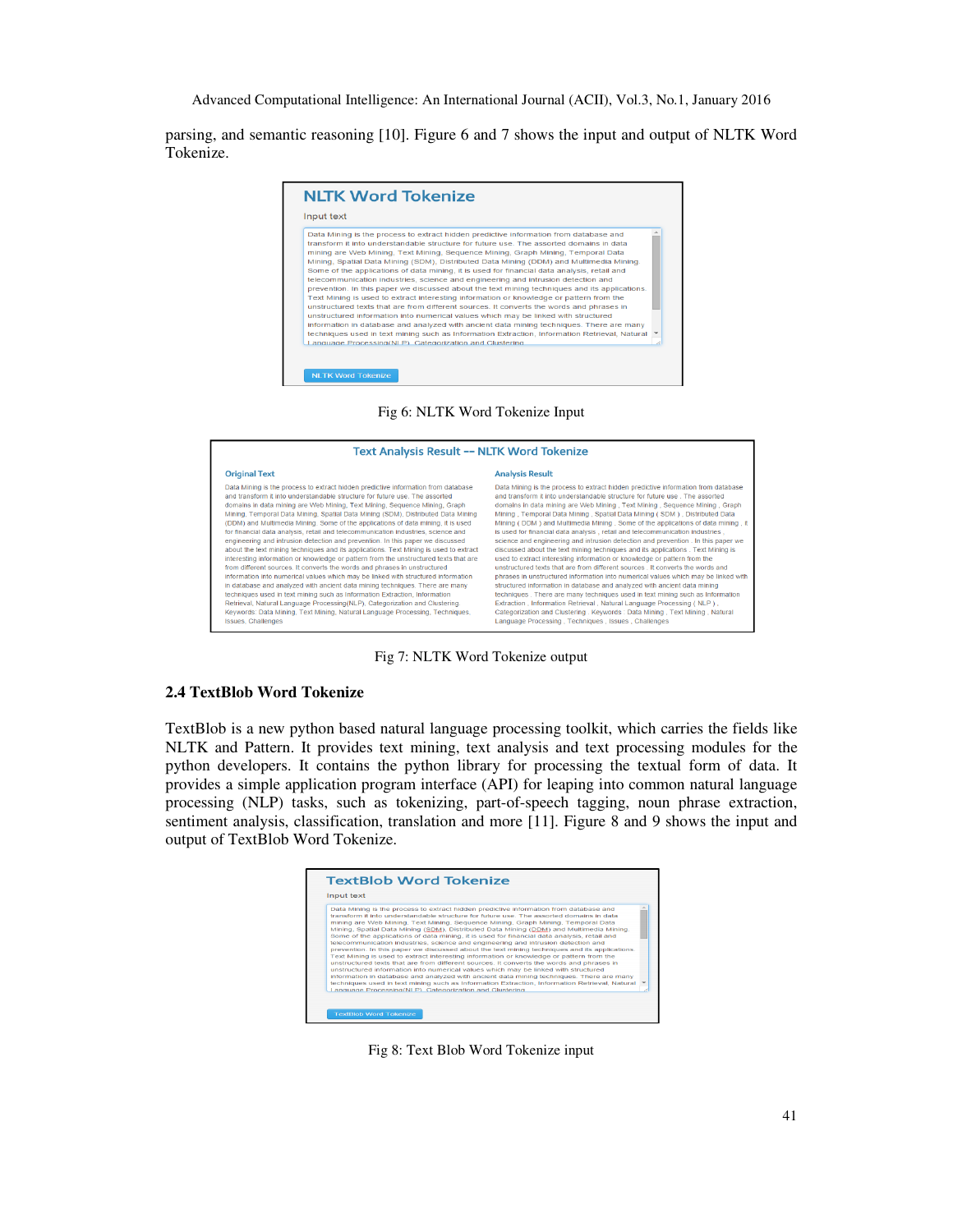parsing, and semantic reasoning [10]. Figure 6 and 7 shows the input and output of NLTK Word Tokenize.



### Fig 6: NLTK Word Tokenize Input

| <b>Text Analysis Result -- NLTK Word Tokenize</b>                                                                                                                                                                                                                                                                                                                                                                                                                                                                                                                                                                                                                                                                                                                                                                                                                                                                                                                                                                                                                                                                                                                                                                                                                                                    |                                                                                                                                                                                                                                                                                                                                                                                                                                                                                                                                                                                                                                                                                                                                                                                                                                                                                                                                                                                                                                                                                                                                                                                                                                                                                                           |  |
|------------------------------------------------------------------------------------------------------------------------------------------------------------------------------------------------------------------------------------------------------------------------------------------------------------------------------------------------------------------------------------------------------------------------------------------------------------------------------------------------------------------------------------------------------------------------------------------------------------------------------------------------------------------------------------------------------------------------------------------------------------------------------------------------------------------------------------------------------------------------------------------------------------------------------------------------------------------------------------------------------------------------------------------------------------------------------------------------------------------------------------------------------------------------------------------------------------------------------------------------------------------------------------------------------|-----------------------------------------------------------------------------------------------------------------------------------------------------------------------------------------------------------------------------------------------------------------------------------------------------------------------------------------------------------------------------------------------------------------------------------------------------------------------------------------------------------------------------------------------------------------------------------------------------------------------------------------------------------------------------------------------------------------------------------------------------------------------------------------------------------------------------------------------------------------------------------------------------------------------------------------------------------------------------------------------------------------------------------------------------------------------------------------------------------------------------------------------------------------------------------------------------------------------------------------------------------------------------------------------------------|--|
| <b>Original Text</b>                                                                                                                                                                                                                                                                                                                                                                                                                                                                                                                                                                                                                                                                                                                                                                                                                                                                                                                                                                                                                                                                                                                                                                                                                                                                                 | <b>Analysis Result</b>                                                                                                                                                                                                                                                                                                                                                                                                                                                                                                                                                                                                                                                                                                                                                                                                                                                                                                                                                                                                                                                                                                                                                                                                                                                                                    |  |
| Data Mining is the process to extract hidden predictive information from database<br>and transform it into understandable structure for future use. The assorted<br>domains in data mining are Web Mining, Text Mining, Sequence Mining, Graph<br>Mining, Temporal Data Mining, Spatial Data Mining (SDM), Distributed Data Mining<br>(DDM) and Multimedia Mining. Some of the applications of data mining, it is used<br>for financial data analysis, retail and telecommunication industries, science and<br>engineering and intrusion detection and prevention. In this paper we discussed<br>about the text mining techniques and its applications. Text Mining is used to extract<br>interesting information or knowledge or pattern from the unstructured texts that are<br>from different sources. It converts the words and phrases in unstructured<br>information into numerical values which may be linked with structured information<br>in database and analyzed with ancient data mining techniques. There are many<br>techniques used in text mining such as Information Extraction, Information<br>Retrieval, Natural Language Processing (NLP), Categorization and Clustering.<br>Keywords: Data Mining, Text Mining, Natural Language Processing, Techniques,<br>Issues, Challenges | Data Mining is the process to extract hidden predictive information from database<br>and transform it into understandable structure for future use. The assorted<br>domains in data mining are Web Mining, Text Mining, Sequence Mining, Graph<br>Mining, Temporal Data Mining, Spatial Data Mining (SDM), Distributed Data<br>Mining (DDM) and Multimedia Mining. Some of the applications of data mining, it<br>is used for financial data analysis, retail and telecommunication industries,<br>science and engineering and intrusion detection and prevention. In this paper we<br>discussed about the text mining techniques and its applications . Text Mining is<br>used to extract interesting information or knowledge or pattern from the<br>unstructured texts that are from different sources. It converts the words and<br>phrases in unstructured information into numerical values which may be linked with<br>structured information in database and analyzed with ancient data mining<br>techniques. There are many techniques used in text mining such as Information<br>Extraction, Information Retrieval, Natural Language Processing (NLP).<br>Categorization and Clustering . Keywords : Data Mining , Text Mining , Natural<br>Language Processing, Techniques, Issues, Challenges |  |

Fig 7: NLTK Word Tokenize output

## **2.4 TextBlob Word Tokenize**

TextBlob is a new python based natural language processing toolkit, which carries the fields like NLTK and Pattern. It provides text mining, text analysis and text processing modules for the python developers. It contains the python library for processing the textual form of data. It provides a simple application program interface (API) for leaping into common natural language processing (NLP) tasks, such as tokenizing, part-of-speech tagging, noun phrase extraction, sentiment analysis, classification, translation and more [11]. Figure 8 and 9 shows the input and output of TextBlob Word Tokenize.



Fig 8: Text Blob Word Tokenize input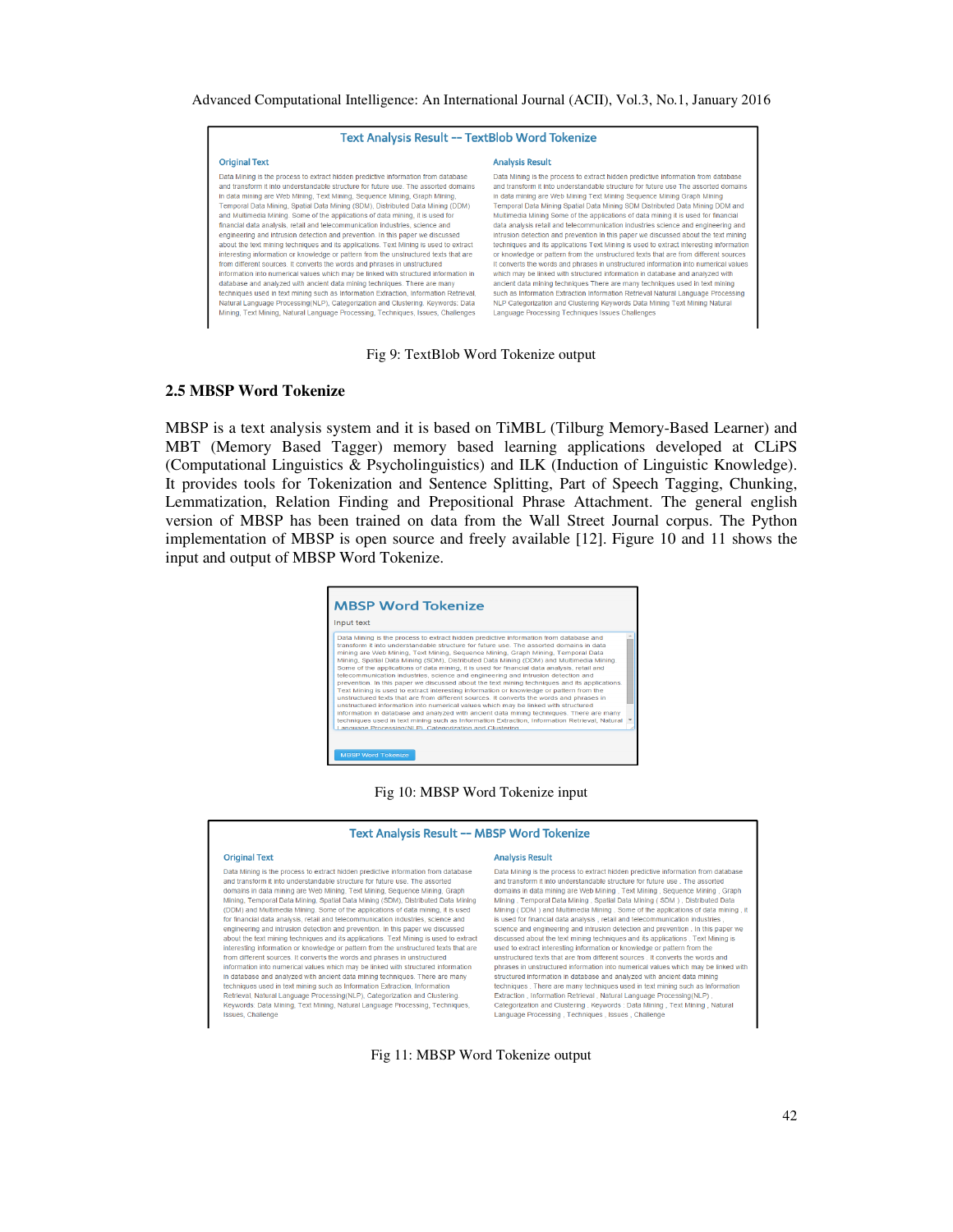| Text Analysis Result -- TextBlob Word Tokenize                                                                                                                                                                                                                                                                                                                                                                                                                                                                                                                                                                                                                                                                                                                                                                                                                                                                                                                                                                                                                                                                                                                                                                                                                                                   |                                                                                                                                                                                                                                                                                                                                                                                                                                                                                                                                                                                                                                                                                                                                                                                                                                                                                                                                                                                                                                                                                                                                                                                                                                                                    |  |
|--------------------------------------------------------------------------------------------------------------------------------------------------------------------------------------------------------------------------------------------------------------------------------------------------------------------------------------------------------------------------------------------------------------------------------------------------------------------------------------------------------------------------------------------------------------------------------------------------------------------------------------------------------------------------------------------------------------------------------------------------------------------------------------------------------------------------------------------------------------------------------------------------------------------------------------------------------------------------------------------------------------------------------------------------------------------------------------------------------------------------------------------------------------------------------------------------------------------------------------------------------------------------------------------------|--------------------------------------------------------------------------------------------------------------------------------------------------------------------------------------------------------------------------------------------------------------------------------------------------------------------------------------------------------------------------------------------------------------------------------------------------------------------------------------------------------------------------------------------------------------------------------------------------------------------------------------------------------------------------------------------------------------------------------------------------------------------------------------------------------------------------------------------------------------------------------------------------------------------------------------------------------------------------------------------------------------------------------------------------------------------------------------------------------------------------------------------------------------------------------------------------------------------------------------------------------------------|--|
| <b>Original Text</b>                                                                                                                                                                                                                                                                                                                                                                                                                                                                                                                                                                                                                                                                                                                                                                                                                                                                                                                                                                                                                                                                                                                                                                                                                                                                             | <b>Analysis Result</b>                                                                                                                                                                                                                                                                                                                                                                                                                                                                                                                                                                                                                                                                                                                                                                                                                                                                                                                                                                                                                                                                                                                                                                                                                                             |  |
| Data Mining is the process to extract hidden predictive information from database<br>and transform it into understandable structure for future use. The assorted domains<br>in data mining are Web Mining, Text Mining, Sequence Mining, Graph Mining,<br>Temporal Data Mining, Spatial Data Mining (SDM), Distributed Data Mining (DDM)<br>and Multimedia Mining. Some of the applications of data mining, it is used for<br>financial data analysis, retail and telecommunication industries, science and<br>engineering and intrusion detection and prevention. In this paper we discussed<br>about the text mining techniques and its applications. Text Mining is used to extract<br>interesting information or knowledge or pattern from the unstructured texts that are<br>from different sources. It converts the words and phrases in unstructured<br>information into numerical values which may be linked with structured information in<br>database and analyzed with ancient data mining techniques. There are many<br>techniques used in text mining such as Information Extraction, Information Retrieval,<br>Natural Language Processing(NLP), Categorization and Clustering, Keywords; Data<br>Mining, Text Mining, Natural Language Processing, Techniques, Issues, Challenges | Data Mining is the process to extract hidden predictive information from database<br>and transform it into understandable structure for future use The assorted domains<br>in data mining are Web Mining Text Mining Sequence Mining Graph Mining<br>Temporal Data Mining Spatial Data Mining SDM Distributed Data Mining DDM and<br>Multimedia Mining Some of the applications of data mining it is used for financial<br>data analysis retail and telecommunication industries science and engineering and<br>intrusion detection and prevention In this paper we discussed about the text mining<br>techniques and its applications Text Mining is used to extract interesting information<br>or knowledge or pattern from the unstructured texts that are from different sources<br>It converts the words and phrases in unstructured information into numerical values<br>which may be linked with structured information in database and analyzed with<br>ancient data mining techniques There are many techniques used in text mining<br>such as Information Extraction Information Retrieval Natural Language Processing<br>NLP Categorization and Clustering Keywords Data Mining Text Mining Natural<br>Language Processing Techniques Issues Challenges |  |

Fig 9: TextBlob Word Tokenize output

#### **2.5 MBSP Word Tokenize**

MBSP is a text analysis system and it is based on TiMBL (Tilburg Memory-Based Learner) and MBT (Memory Based Tagger) memory based learning applications developed at CLiPS (Computational Linguistics & Psycholinguistics) and ILK (Induction of Linguistic Knowledge). It provides tools for Tokenization and Sentence Splitting, Part of Speech Tagging, Chunking, Lemmatization, Relation Finding and Prepositional Phrase Attachment. The general english version of MBSP has been trained on data from the Wall Street Journal corpus. The Python implementation of MBSP is open source and freely available [12]. Figure 10 and 11 shows the input and output of MBSP Word Tokenize.

| Input text                                                                                                                                                                                                                                                                                                                                                                                                                                                                                                                                                                                                                                                                                                                                                                                                                                                                                                                                                                                                                                                                                                                                                                                |
|-------------------------------------------------------------------------------------------------------------------------------------------------------------------------------------------------------------------------------------------------------------------------------------------------------------------------------------------------------------------------------------------------------------------------------------------------------------------------------------------------------------------------------------------------------------------------------------------------------------------------------------------------------------------------------------------------------------------------------------------------------------------------------------------------------------------------------------------------------------------------------------------------------------------------------------------------------------------------------------------------------------------------------------------------------------------------------------------------------------------------------------------------------------------------------------------|
| Data Mining is the process to extract hidden predictive information from database and<br>transform it into understandable structure for future use. The assorted domains in data<br>mining are Web Mining, Text Mining, Sequence Mining, Graph Mining, Temporal Data<br>Mining, Spatial Data Mining (SDM), Distributed Data Mining (DDM) and Multimedia Mining.<br>Some of the applications of data mining, it is used for financial data analysis, retail and<br>telecommunication industries, science and engineering and intrusion detection and<br>prevention. In this paper we discussed about the text mining techniques and its applications.<br>Text Mining is used to extract interesting information or knowledge or pattern from the<br>unstructured texts that are from different sources. It converts the words and phrases in<br>unstructured information into numerical values which may be linked with structured<br>information in database and analyzed with ancient data mining techniques. There are many<br>techniques used in text mining such as Information Extraction, Information Retrieval, Natural<br>Language Processing(NLP). Categorization and Clustering |

Fig 10: MBSP Word Tokenize input

#### Text Analysis Result -- MBSP Word Tokenize

#### **Original Text**

**Analysis Result** 

Data Mining is the process to extract hidden predictive information from database and transform it into understandable structure for future use. The assorted and domains in data mining are Web Mining, Text Mining, Sequence Mining, Graph<br>Mining, Temporal Data Mining, Spatial Data Mining, Sequence Mining, Graph<br>Mining, Temporal Data Mining, Spatial Data Mining (SDM), Distributed (DDM) and Multimedia Mining. Some of the applications of data mining, it is used for financial data analysis, retail and telecommunication industries, science and engineering and intrusion detection and prevention. In this paper we discussed about the text mining techniques and its applications. Text Mining is used to extract interesting information or knowledge or pattern from the unstructured texts that are<br>from different sources. It converts the words and phrases in unstructured texts that are information into numerical values which may be linked with structured information in database and analyzed with ancient data mining techniques. There are many techniques used in text mining such as information Extraction, Information Retrieval, Natural Language Processing(NLP), Categorization and Clustering. Keywords: Data Mining, Text Mining, Natural Language Processing, Techniques, ssues, Challenge

#### Data Mining is the process to extract hidden predictive information from database and transform it into understandable structure for future use . The assorted and domains in data mining are Web Mining , Text Mining , Sequence Mining , Graph<br>Mining , Temporal Data Mining , Spatial Data Mining ( SDM ) , Distributed Data<br>Mining , Temporal Data Mining , Spatial Data Mining ( SDM ) , Mining (DDM) and Multimedia Mining . Some of the applications of data mining , it<br>is used for financial data analysis , retail and telecommunication industries,<br>science and engineering and intrusion detection and preventio discussed about the text mining techniques and its applications . Text Mining is absolute the esting information or knowledge or pattern from the<br>used to extract interesting information or knowledge or pattern from the<br>unstructured texts that are from different sources . It converts the words a phrases in unstructured information into numerical values which may be linked with structured information in database and analyzed with ancient data mining<br>techniques . There are many techniques used in text mining such as Information Extraction, Information Retrieval, Natural Language Processing(NLP) Categorization and Clustering . Keywords : Data Mining , Text Mining , Natural Language Processing , Techniques , Issues , Challenge

Fig 11: MBSP Word Tokenize output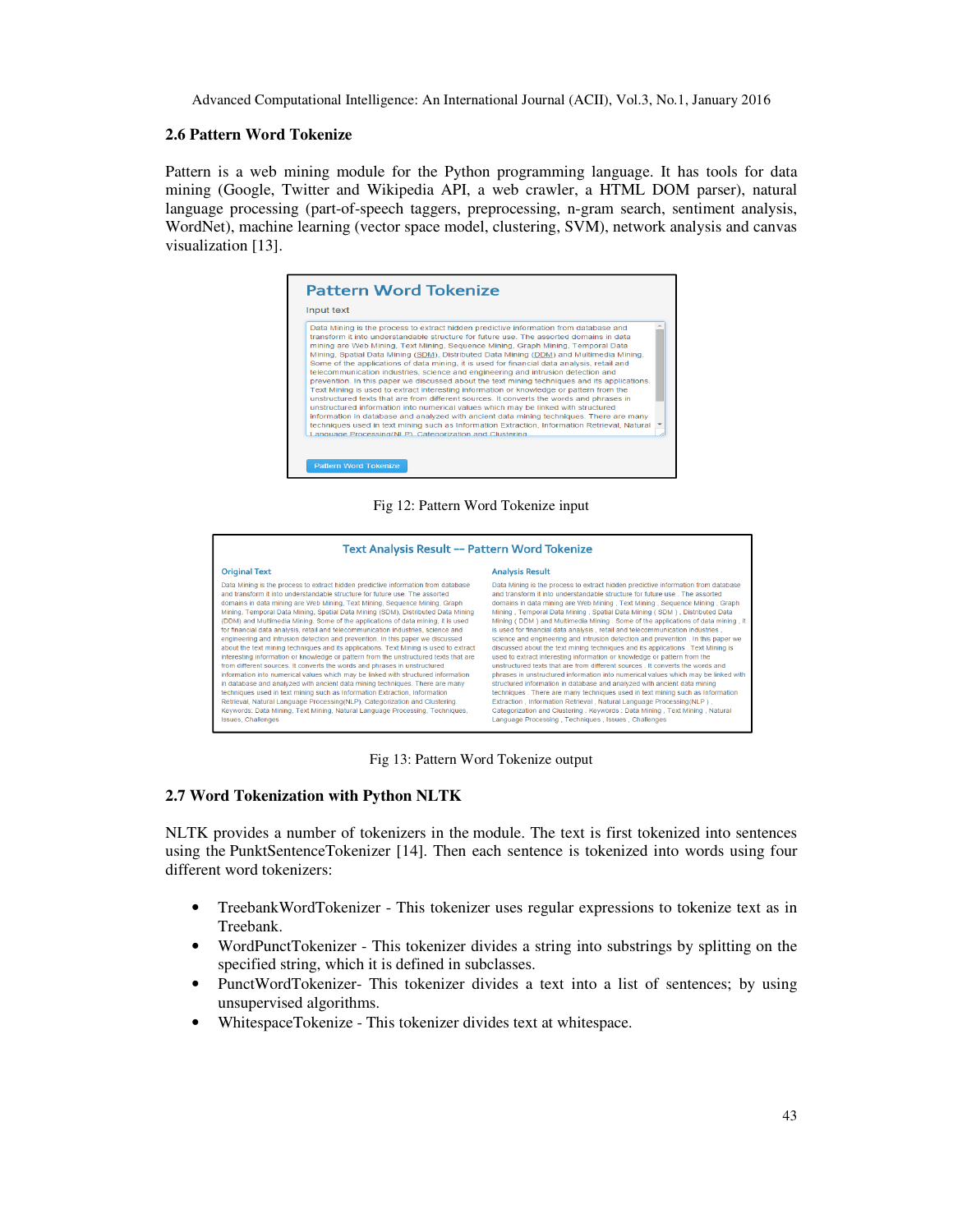## **2.6 Pattern Word Tokenize**

Pattern is a web mining module for the Python programming language. It has tools for data mining (Google, Twitter and Wikipedia API, a web crawler, a HTML DOM parser), natural language processing (part-of-speech taggers, preprocessing, n-gram search, sentiment analysis, WordNet), machine learning (vector space model, clustering, SVM), network analysis and canvas visualization [13].



### Fig 12: Pattern Word Tokenize input



Fig 13: Pattern Word Tokenize output

## **2.7 Word Tokenization with Python NLTK**

NLTK provides a number of tokenizers in the module. The text is first tokenized into sentences using the PunktSentenceTokenizer [14]. Then each sentence is tokenized into words using four different word tokenizers:

- TreebankWordTokenizer This tokenizer uses regular expressions to tokenize text as in Treebank.
- WordPunctTokenizer This tokenizer divides a string into substrings by splitting on the specified string, which it is defined in subclasses.
- PunctWordTokenizer- This tokenizer divides a text into a list of sentences; by using unsupervised algorithms.
- WhitespaceTokenize This tokenizer divides text at whitespace.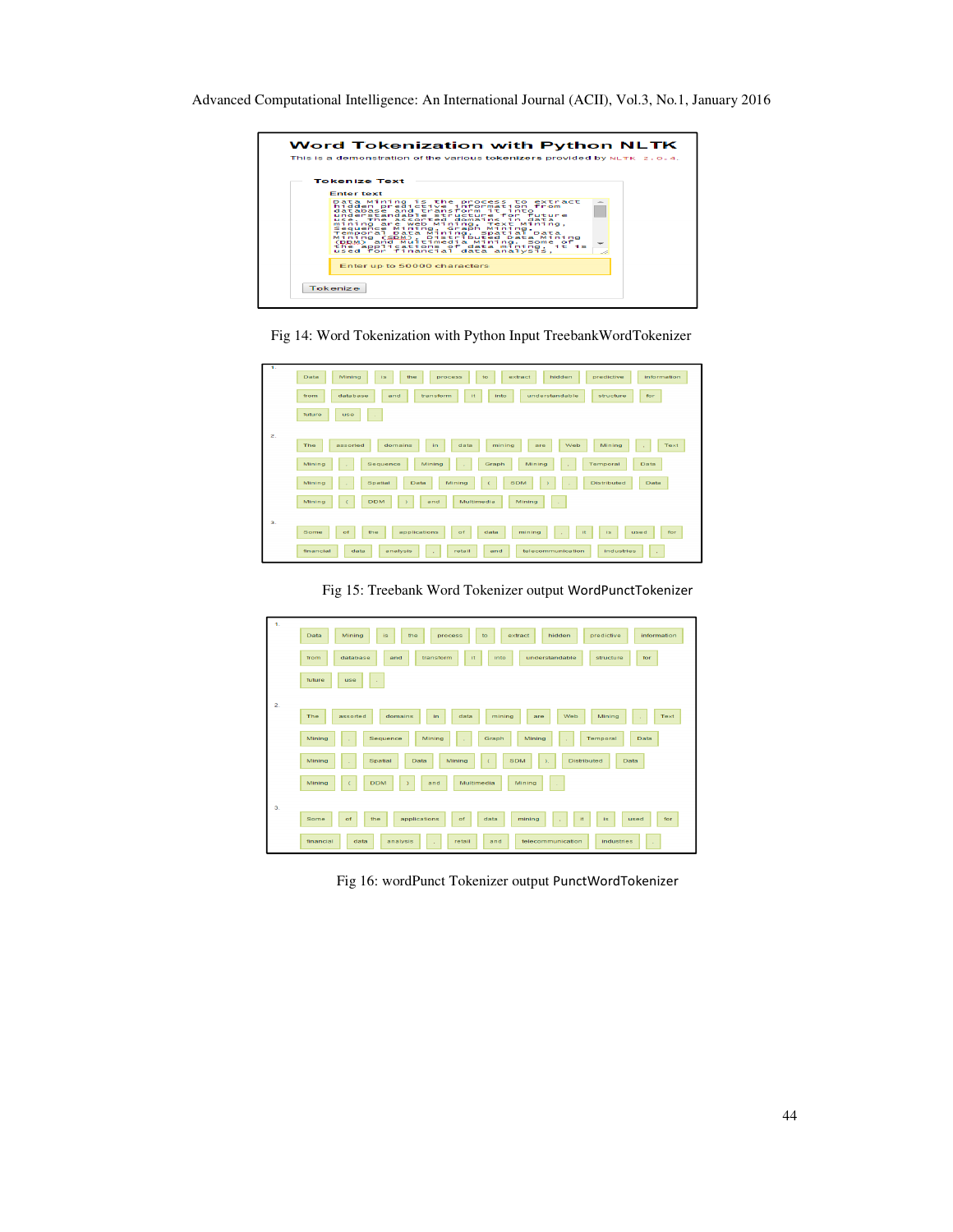





Fig 15: Treebank Word Tokenizer output WordPunctTokenizer

| $\mathbf{1}$     | Data<br>Mining<br>is<br>predictive<br>information<br>the<br>hidden<br>extract<br>process<br>to                             |
|------------------|----------------------------------------------------------------------------------------------------------------------------|
|                  | understandable<br>transform<br>it<br>for<br>from<br>database<br>into<br>structure<br>and                                   |
|                  | future<br>use<br>$\sim$                                                                                                    |
| $\overline{2}$ . |                                                                                                                            |
|                  | The<br>domains<br>Mining<br>assorted<br>data<br>mining<br>Web<br>Text<br>in<br>are<br>$\sim$                               |
|                  | Mining<br>Mining<br>Temporal<br>Mining<br>Sequence<br>Graph<br>Data<br>$\alpha$<br>$\sim$<br>$\mathcal{L}_{\mathcal{A}}$   |
|                  | Mining<br>Spatial<br>Mining<br><b>SDM</b><br><b>Distributed</b><br>Data<br>Data<br>$\mathcal{Y}_t$<br>$\epsilon$<br>$\sim$ |
|                  | Mining<br><b>DDM</b><br>Multimedia<br>Mining<br>and<br>$\epsilon$<br>٨<br>$\sim$                                           |
| 3.               |                                                                                                                            |
|                  | applications<br>Some<br>of<br>mining<br>it<br>is<br>for<br>of<br>the<br>data<br>used<br>×                                  |
|                  | analysis<br>financial<br>telecommunication<br>industries<br>data<br>retail<br>and<br>$\sim$<br>$\sim$                      |

Fig 16: wordPunct Tokenizer output PunctWordTokenizer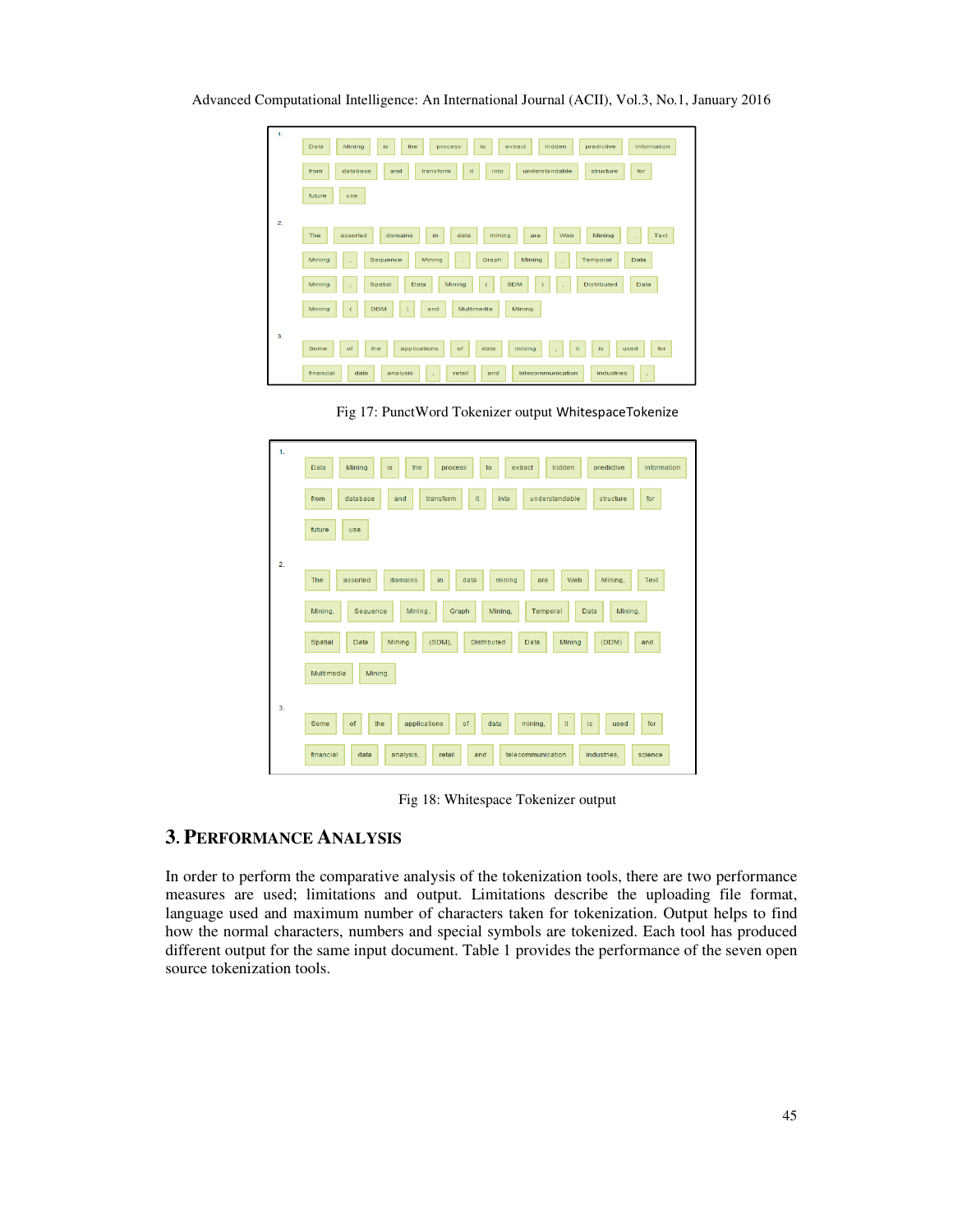| 1.             |                                                                                                                           |
|----------------|---------------------------------------------------------------------------------------------------------------------------|
|                | hidden<br>predictive<br>Data<br>Mining<br>information<br>is<br>the<br>to<br>extract<br>process                            |
|                | it<br>database<br>transform<br>understandable<br>into<br>structure<br>for<br>from<br>and                                  |
|                | future<br>use.                                                                                                            |
| $\overline{2}$ |                                                                                                                           |
|                | The<br>Web<br>Mining<br>Text<br>assorted<br>domains<br>in.<br>data<br>mining<br>are<br>$\lambda$                          |
|                | Mining<br>Temporal<br>Data<br>Mining<br>Sequence<br>Mining<br>Graph<br>$\lambda$<br>$\mathbf{r}$<br>$\mathbf{r}$          |
|                | Mining<br>Spatial<br>Data<br>Mining<br>$\overline{C}$<br><b>SDM</b><br><b>Distributed</b><br>Data<br>$\mathbf{r}$<br>- 11 |
|                | Multimedia<br>Mining<br><b>DDM</b><br>Mining.<br>and<br>$\overline{C}$<br>¥                                               |
| 3.             |                                                                                                                           |
|                | Some<br>applications<br>mining<br>of<br>the<br>of<br>data<br>it<br>is.<br>for<br>used<br>$\lambda$                        |
|                | financial<br>analysis<br>telecommunication<br>industries<br>data<br>retail<br>and<br>$\mathcal{L}_{\mathcal{A}}$<br>×     |

Advanced Computational Intelligence: An International Journal (ACII), Vol.3, No.1, January 2016

Fig 17: PunctWord Tokenizer output WhitespaceTokenize

| 1 <sub>1</sub> | predictive<br>information<br>Data<br>Mining<br>is<br>the<br>to<br>extract<br>hidden<br>process            |
|----------------|-----------------------------------------------------------------------------------------------------------|
|                | database<br>transform<br>it<br>understandable<br>for<br>from<br>and<br>into<br>structure                  |
|                | future<br>use.                                                                                            |
| 2.             |                                                                                                           |
|                | The<br>mining<br>Web<br>Mining,<br>Text<br>assorted<br>domains<br>in<br>data<br>are                       |
|                | Mining,<br>Mining,<br>Graph<br>Mining.<br>Temporal<br>Mining,<br>Sequence<br>Data                         |
|                | (SDM),<br>Spatial<br><b>Distributed</b><br>(DDM)<br><b>Data</b><br>Mining<br><b>Data</b><br>Mining<br>and |
|                | Multimedia<br>Mining.                                                                                     |
|                |                                                                                                           |
| 3.             | applications<br>of<br>it<br>Some<br>of<br>the<br>data<br>mining.<br>for<br>is<br>used                     |
|                | financial<br>data<br>analysis,<br>retail<br>telecommunication<br>industries,<br>and<br>science            |

Fig 18: Whitespace Tokenizer output

# **3. PERFORMANCE ANALYSIS**

In order to perform the comparative analysis of the tokenization tools, there are two performance measures are used; limitations and output. Limitations describe the uploading file format, language used and maximum number of characters taken for tokenization. Output helps to find how the normal characters, numbers and special symbols are tokenized. Each tool has produced different output for the same input document. Table 1 provides the performance of the seven open source tokenization tools.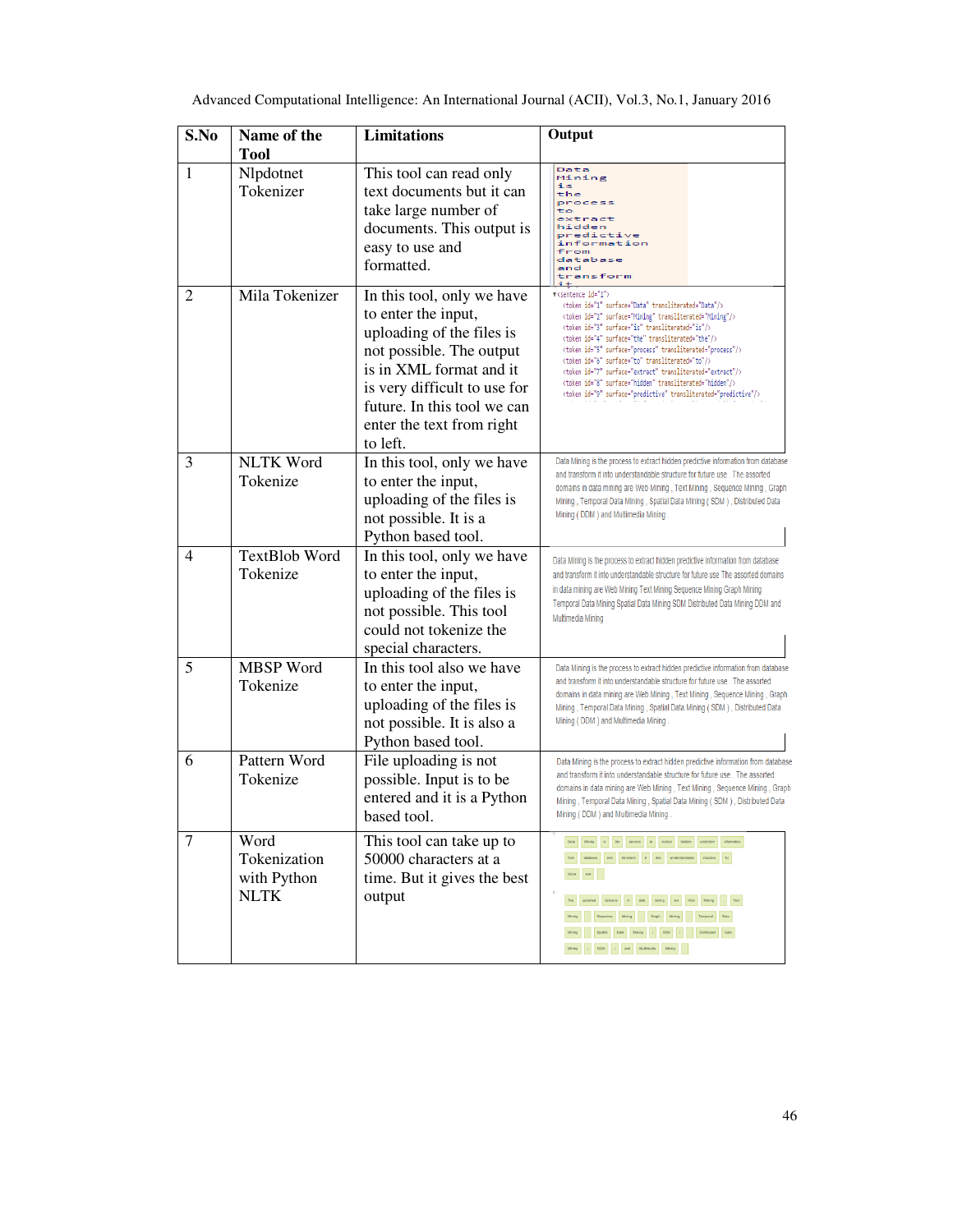| S.No           | Name of the<br><b>Tool</b>                         | <b>Limitations</b>                                                                                                                                                                                                                            | Output                                                                                                                                                                                                                                                                                                                                                                                                                                                                                                                                                                                                                                                                                                                                                                                                                                                                                                                                                                                                                                                                                                                                          |
|----------------|----------------------------------------------------|-----------------------------------------------------------------------------------------------------------------------------------------------------------------------------------------------------------------------------------------------|-------------------------------------------------------------------------------------------------------------------------------------------------------------------------------------------------------------------------------------------------------------------------------------------------------------------------------------------------------------------------------------------------------------------------------------------------------------------------------------------------------------------------------------------------------------------------------------------------------------------------------------------------------------------------------------------------------------------------------------------------------------------------------------------------------------------------------------------------------------------------------------------------------------------------------------------------------------------------------------------------------------------------------------------------------------------------------------------------------------------------------------------------|
| 1              | Nlpdotnet<br>Tokenizer                             | This tool can read only<br>text documents but it can<br>take large number of<br>documents. This output is<br>easy to use and<br>formatted.                                                                                                    | Data<br>Mining<br>is<br>the<br>process<br>to<br>extract<br>hidden<br>predictive<br>information<br>from<br>database<br>and<br>transform                                                                                                                                                                                                                                                                                                                                                                                                                                                                                                                                                                                                                                                                                                                                                                                                                                                                                                                                                                                                          |
| 2              | Mila Tokenizer                                     | In this tool, only we have<br>to enter the input,<br>uploading of the files is<br>not possible. The output<br>is in XML format and it<br>is very difficult to use for<br>future. In this tool we can<br>enter the text from right<br>to left. | V <sentence id="1"><br/><token id="1" surface="Data" transliterated="Data"></token><br/><token id="2" surface="Mining" transliterated="Mining"></token><br/><token id="3" surface="is" transliterated="is"></token><br/><token id="4" surface="the" transliterated="the"></token><br/><token id="5" surface="process" transliterated="process"></token><br/><token id="6" surface="to" transliterated="to"></token><br/><token id="7" surface="extract" transliterated="extract"></token><br/><token id="8" surface="hidden" transliterated="hidden"></token><br/><token id="9" surface="predictive" transliterated="predictive"></token></sentence>                                                                                                                                                                                                                                                                                                                                                                                                                                                                                            |
| 3              | <b>NLTK Word</b><br>Tokenize                       | In this tool, only we have<br>to enter the input,<br>uploading of the files is<br>not possible. It is a<br>Python based tool.                                                                                                                 | Data Mining is the process to extract hidden predictive information from database<br>and transform it into understandable structure for future use. The assorted<br>domains in data mining are Web Mining, Text Mining, Sequence Mining, Graph<br>Mining, Temporal Data Mining, Spatial Data Mining (SDM), Distributed Data<br>Mining (DDM) and Multimedia Mining.                                                                                                                                                                                                                                                                                                                                                                                                                                                                                                                                                                                                                                                                                                                                                                              |
| 4              | TextBlob Word<br>Tokenize                          | In this tool, only we have<br>to enter the input,<br>uploading of the files is<br>not possible. This tool<br>could not tokenize the<br>special characters.                                                                                    | Data Mining is the process to extract hidden predictive information from database<br>and transform it into understandable structure for future use The assorted domains<br>in data mining are Web Mining Text Mining Sequence Mining Graph Mining<br>Temporal Data Mining Spatial Data Mining SDM Distributed Data Mining DDM and<br>Multimedia Mining                                                                                                                                                                                                                                                                                                                                                                                                                                                                                                                                                                                                                                                                                                                                                                                          |
| 5              | <b>MBSP</b> Word<br>Tokenize                       | In this tool also we have<br>to enter the input,<br>uploading of the files is<br>not possible. It is also a<br>Python based tool.                                                                                                             | Data Mining is the process to extract hidden predictive information from database<br>and transform it into understandable structure for future use. The assorted<br>domains in data mining are Web Mining, Text Mining, Sequence Mining, Graph<br>Mining, Temporal Data Mining, Spatial Data Mining (SDM), Distributed Data<br>Mining (DDM) and Multimedia Mining                                                                                                                                                                                                                                                                                                                                                                                                                                                                                                                                                                                                                                                                                                                                                                               |
| 6              | Pattern Word<br>Tokenize                           | File uploading is not<br>possible. Input is to be<br>entered and it is a Python<br>based tool.                                                                                                                                                | Data Mining is the process to extract hidden predictive information from database<br>and transform it into understandable structure for future use. The assorted<br>domains in data mining are Web Mining, Text Mining, Sequence Mining, Graph<br>Mining, Temporal Data Mining, Spatial Data Mining (SDM), Distributed Data<br>Mining (DDM) and Multimedia Mining                                                                                                                                                                                                                                                                                                                                                                                                                                                                                                                                                                                                                                                                                                                                                                               |
| $\overline{7}$ | Word<br>Tokenization<br>with Python<br><b>NLTK</b> | This tool can take up to<br>50000 characters at a<br>time. But it gives the best<br>output                                                                                                                                                    | $\textbf{Dab} \qquad \textbf{Mring} \qquad \textbf{B} \qquad \textbf{Be} \qquad \textbf{process} \qquad \textbf{lb} \qquad \textbf{eeta} \qquad \textbf{footuse} \qquad \textbf{proactive} \qquad \textbf{informed} \qquad \textbf{b}$<br>$\textbf{from} \quad \textbf{dilabare} \quad \textbf{and} \quad \textbf{bimber} \quad \textbf{t} \quad \textbf{to} \quad \textbf{infinite distance} \quad \textbf{to} \quad \textbf{to}$<br>$\text{base} \left[\begin{array}{ccc} \text{use} & \text{} \end{array}\right]$<br>The asseted domains in data mining are Web Mining . Test<br>$\text{Mring} \qquad \ldots \qquad \text{Gequence} \qquad \text{Mring} \qquad \ldots \qquad \text{Gupp} \qquad \text{Msing} \qquad \ldots \qquad \text{Temporal} \qquad \text{Data}$<br>$\text{Mring} \qquad \text{.} \qquad \text{Spabil} \qquad \text{Dab} \qquad \text{Mning} \qquad \text{.} \qquad \text{SDM} \qquad \text{)} \qquad \text{.} \qquad \text{Dorbated} \qquad \text{Dab} \,.$<br>$\text{Mring} = \begin{bmatrix} 1 & 00 M & 1 \end{bmatrix} \quad \text{and} \quad \begin{bmatrix} \text{Milimetic} & \text{Mimetic} \end{bmatrix} = 1.$ |

Advanced Computational Intelligence: An International Journal (ACII), Vol.3, No.1, January 2016